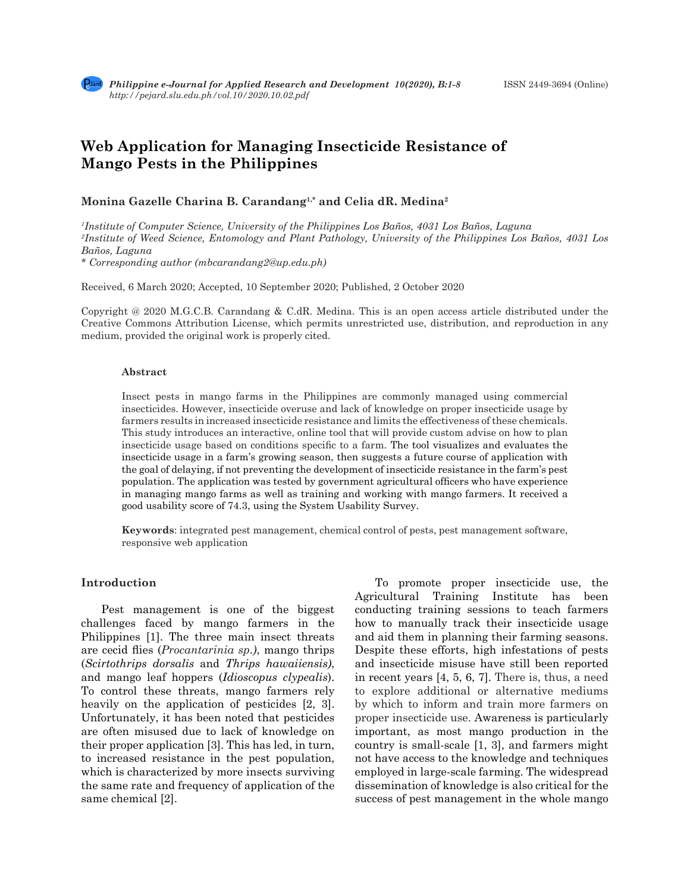# **Web Application for Managing Insecticide Resistance of Mango Pests in the Philippines**

# **Monina Gazelle Charina B. Carandang1,\* and Celia dR. Medina2**

*1 Institute of Computer Science, University of the Philippines Los Baños, 4031 Los Baños, Laguna 2 Institute of Weed Science, Entomology and Plant Pathology, University of the Philippines Los Baños, 4031 Los Baños, Laguna \* Corresponding author (mbcarandang2@up.edu.ph)*

Received, 6 March 2020; Accepted, 10 September 2020; Published, 2 October 2020

Copyright @ 2020 M.G.C.B. Carandang & C.dR. Medina. This is an open access article distributed under the Creative Commons Attribution License, which permits unrestricted use, distribution, and reproduction in any medium, provided the original work is properly cited.

#### **Abstract**

Insect pests in mango farms in the Philippines are commonly managed using commercial insecticides. However, insecticide overuse and lack of knowledge on proper insecticide usage by farmers results in increased insecticide resistance and limits the effectiveness of these chemicals. This study introduces an interactive, online tool that will provide custom advise on how to plan insecticide usage based on conditions specific to a farm. The tool visualizes and evaluates the insecticide usage in a farm's growing season, then suggests a future course of application with the goal of delaying, if not preventing the development of insecticide resistance in the farm's pest population. The application was tested by government agricultural officers who have experience in managing mango farms as well as training and working with mango farmers. It received a good usability score of 74.3, using the System Usability Survey.

**Keywords**: integrated pest management, chemical control of pests, pest management software, responsive web application

#### **Introduction**

Pest management is one of the biggest challenges faced by mango farmers in the Philippines [1]. The three main insect threats are cecid flies (*Procantarinia sp*.*)*, mango thrips (*Scirtothrips dorsalis* and *Thrips hawaiiensis)*, and mango leaf hoppers (*Idioscopus clypealis*). To control these threats, mango farmers rely heavily on the application of pesticides [2, 3]. Unfortunately, it has been noted that pesticides are often misused due to lack of knowledge on their proper application [3]. This has led, in turn, to increased resistance in the pest population, which is characterized by more insects surviving the same rate and frequency of application of the same chemical [2].

To promote proper insecticide use, the Agricultural Training Institute has been conducting training sessions to teach farmers how to manually track their insecticide usage and aid them in planning their farming seasons. Despite these efforts, high infestations of pests and insecticide misuse have still been reported in recent years [4, 5, 6, 7]. There is, thus, a need to explore additional or alternative mediums by which to inform and train more farmers on proper insecticide use. Awareness is particularly important, as most mango production in the country is small-scale [1, 3], and farmers might not have access to the knowledge and techniques employed in large-scale farming. The widespread dissemination of knowledge is also critical for the success of pest management in the whole mango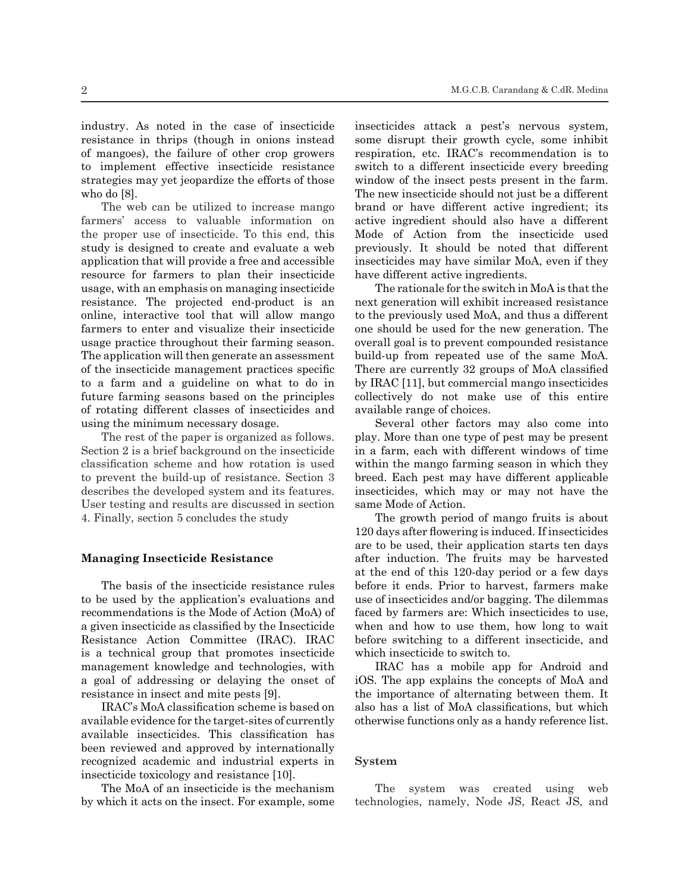industry. As noted in the case of insecticide resistance in thrips (though in onions instead of mangoes), the failure of other crop growers to implement effective insecticide resistance strategies may yet jeopardize the efforts of those who do [8].

The web can be utilized to increase mango farmers' access to valuable information on the proper use of insecticide. To this end, this study is designed to create and evaluate a web application that will provide a free and accessible resource for farmers to plan their insecticide usage, with an emphasis on managing insecticide resistance. The projected end-product is an online, interactive tool that will allow mango farmers to enter and visualize their insecticide usage practice throughout their farming season. The application will then generate an assessment of the insecticide management practices specific to a farm and a guideline on what to do in future farming seasons based on the principles of rotating different classes of insecticides and using the minimum necessary dosage.

The rest of the paper is organized as follows. Section 2 is a brief background on the insecticide classification scheme and how rotation is used to prevent the build-up of resistance. Section 3 describes the developed system and its features. User testing and results are discussed in section 4. Finally, section 5 concludes the study

### **Managing Insecticide Resistance**

The basis of the insecticide resistance rules to be used by the application's evaluations and recommendations is the Mode of Action (MoA) of a given insecticide as classified by the Insecticide Resistance Action Committee (IRAC). IRAC is a technical group that promotes insecticide management knowledge and technologies, with a goal of addressing or delaying the onset of resistance in insect and mite pests [9].

IRAC's MoA classification scheme is based on available evidence for the target-sites of currently available insecticides. This classification has been reviewed and approved by internationally recognized academic and industrial experts in insecticide toxicology and resistance [10].

The MoA of an insecticide is the mechanism by which it acts on the insect. For example, some insecticides attack a pest's nervous system, some disrupt their growth cycle, some inhibit respiration, etc. IRAC's recommendation is to switch to a different insecticide every breeding window of the insect pests present in the farm. The new insecticide should not just be a different brand or have different active ingredient; its active ingredient should also have a different Mode of Action from the insecticide used previously. It should be noted that different insecticides may have similar MoA, even if they have different active ingredients.

The rationale for the switch in MoA is that the next generation will exhibit increased resistance to the previously used MoA, and thus a different one should be used for the new generation. The overall goal is to prevent compounded resistance build-up from repeated use of the same MoA. There are currently 32 groups of MoA classified by IRAC [11], but commercial mango insecticides collectively do not make use of this entire available range of choices.

Several other factors may also come into play. More than one type of pest may be present in a farm, each with different windows of time within the mango farming season in which they breed. Each pest may have different applicable insecticides, which may or may not have the same Mode of Action.

The growth period of mango fruits is about 120 days after flowering is induced. If insecticides are to be used, their application starts ten days after induction. The fruits may be harvested at the end of this 120-day period or a few days before it ends. Prior to harvest, farmers make use of insecticides and/or bagging. The dilemmas faced by farmers are: Which insecticides to use, when and how to use them, how long to wait before switching to a different insecticide, and which insecticide to switch to.

IRAC has a mobile app for Android and iOS. The app explains the concepts of MoA and the importance of alternating between them. It also has a list of MoA classifications, but which otherwise functions only as a handy reference list.

#### **System**

The system was created using web technologies, namely, Node JS, React JS, and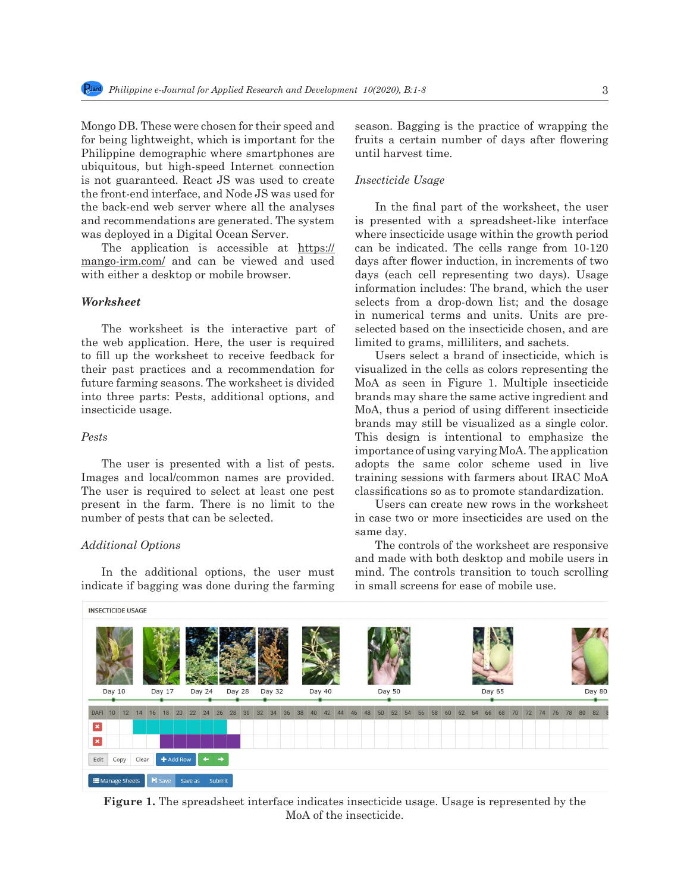Mongo DB. These were chosen for their speed and for being lightweight, which is important for the Philippine demographic where smartphones are ubiquitous, but high-speed Internet connection is not guaranteed. React JS was used to create the front-end interface, and Node JS was used for the back-end web server where all the analyses and recommendations are generated. The system was deployed in a Digital Ocean Server.

The application is accessible at https:// mango-irm.com/ and can be viewed and used with either a desktop or mobile browser.

## *Worksheet*

The worksheet is the interactive part of the web application. Here, the user is required to fill up the worksheet to receive feedback for their past practices and a recommendation for future farming seasons. The worksheet is divided into three parts: Pests, additional options, and insecticide usage.

## *Pests*

The user is presented with a list of pests. Images and local/common names are provided. The user is required to select at least one pest present in the farm. There is no limit to the number of pests that can be selected.

## *Additional Options*

In the additional options, the user must indicate if bagging was done during the farming season. Bagging is the practice of wrapping the fruits a certain number of days after flowering until harvest time.

## *Insecticide Usage*

In the final part of the worksheet, the user is presented with a spreadsheet-like interface where insecticide usage within the growth period can be indicated. The cells range from 10-120 days after flower induction, in increments of two days (each cell representing two days). Usage information includes: The brand, which the user selects from a drop-down list; and the dosage in numerical terms and units. Units are preselected based on the insecticide chosen, and are limited to grams, milliliters, and sachets.

Users select a brand of insecticide, which is visualized in the cells as colors representing the MoA as seen in Figure 1. Multiple insecticide brands may share the same active ingredient and MoA, thus a period of using different insecticide brands may still be visualized as a single color. This design is intentional to emphasize the importance of using varying MoA. The application adopts the same color scheme used in live training sessions with farmers about IRAC MoA classifications so as to promote standardization.

Users can create new rows in the worksheet in case two or more insecticides are used on the same day.

The controls of the worksheet are responsive and made with both desktop and mobile users in mind. The controls transition to touch scrolling in small screens for ease of mobile use.



**Figure 1.** The spreadsheet interface indicates insecticide usage. Usage is represented by the MoA of the insecticide.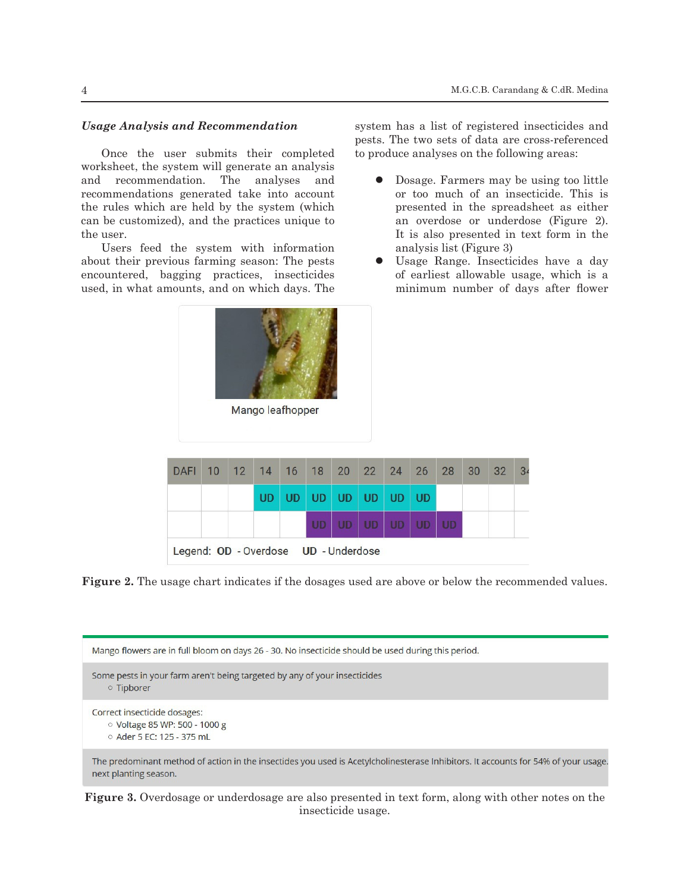## *Usage Analysis and Recommendation*

Once the user submits their completed worksheet, the system will generate an analysis and recommendation. The analyses and recommendations generated take into account the rules which are held by the system (which can be customized), and the practices unique to the user.

Users feed the system with information about their previous farming season: The pests encountered, bagging practices, insecticides used, in what amounts, and on which days. The

system has a list of registered insecticides and pests. The two sets of data are cross-referenced to produce analyses on the following areas:

- Dosage. Farmers may be using too little or too much of an insecticide. This is presented in the spreadsheet as either an overdose or underdose (Figure 2). It is also presented in text form in the analysis list (Figure 3)
- Usage Range. Insecticides have a day of earliest allowable usage, which is a minimum number of days after flower

| <b>DAFI</b>                          |  | 10 12 14 16 18 20 22 24 26 28 30 |  |                   |                |  | 32 | 34 |
|--------------------------------------|--|----------------------------------|--|-------------------|----------------|--|----|----|
|                                      |  | <b>UD</b>                        |  | UD UD UD UD UD UD |                |  |    |    |
|                                      |  |                                  |  |                   | UD UD UD UD UD |  |    |    |
| Legend: OD - Overdose UD - Underdose |  |                                  |  |                   |                |  |    |    |

Mango leafhopper

**Figure 2.** The usage chart indicates if the dosages used are above or below the recommended values.



**Figure 3.** Overdosage or underdosage are also presented in text form, along with other notes on the insecticide usage.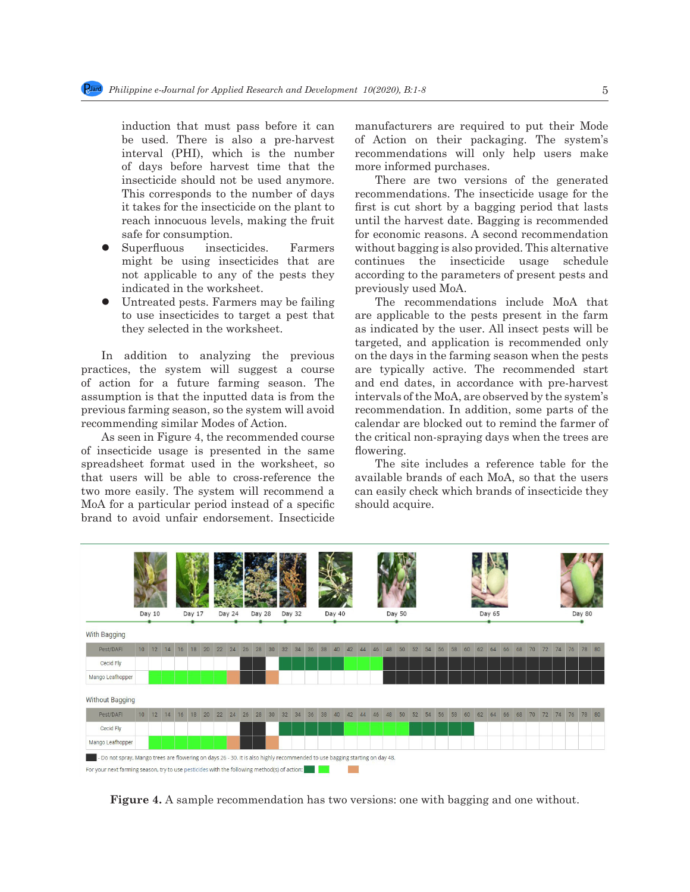induction that must pass before it can be used. There is also a pre-harvest interval (PHI), which is the number of days before harvest time that the insecticide should not be used anymore. This corresponds to the number of days it takes for the insecticide on the plant to reach innocuous levels, making the fruit safe for consumption.

- Superfluous insecticides. Farmers might be using insecticides that are not applicable to any of the pests they indicated in the worksheet.
- Untreated pests. Farmers may be failing to use insecticides to target a pest that they selected in the worksheet.

In addition to analyzing the previous practices, the system will suggest a course of action for a future farming season. The assumption is that the inputted data is from the previous farming season, so the system will avoid recommending similar Modes of Action.

As seen in Figure 4, the recommended course of insecticide usage is presented in the same spreadsheet format used in the worksheet, so that users will be able to cross-reference the two more easily. The system will recommend a MoA for a particular period instead of a specific brand to avoid unfair endorsement. Insecticide manufacturers are required to put their Mode of Action on their packaging. The system's recommendations will only help users make more informed purchases.

There are two versions of the generated recommendations. The insecticide usage for the first is cut short by a bagging period that lasts until the harvest date. Bagging is recommended for economic reasons. A second recommendation without bagging is also provided. This alternative continues the insecticide usage schedule according to the parameters of present pests and previously used MoA.

The recommendations include MoA that are applicable to the pests present in the farm as indicated by the user. All insect pests will be targeted, and application is recommended only on the days in the farming season when the pests are typically active. The recommended start and end dates, in accordance with pre-harvest intervals of the MoA, are observed by the system's recommendation. In addition, some parts of the calendar are blocked out to remind the farmer of the critical non-spraying days when the trees are flowering.

The site includes a reference table for the available brands of each MoA, so that the users can easily check which brands of insecticide they should acquire.



**Figure 4.** A sample recommendation has two versions: one with bagging and one without.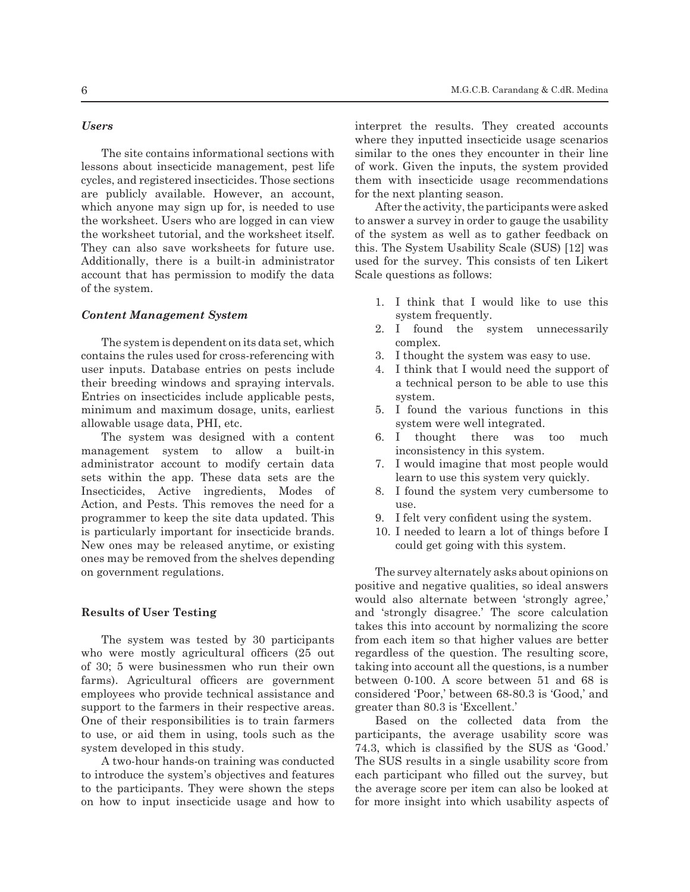The site contains informational sections with lessons about insecticide management, pest life cycles, and registered insecticides. Those sections are publicly available. However, an account, which anyone may sign up for, is needed to use the worksheet. Users who are logged in can view the worksheet tutorial, and the worksheet itself. They can also save worksheets for future use. Additionally, there is a built-in administrator account that has permission to modify the data of the system.

## *Content Management System*

The system is dependent on its data set, which contains the rules used for cross-referencing with user inputs. Database entries on pests include their breeding windows and spraying intervals. Entries on insecticides include applicable pests, minimum and maximum dosage, units, earliest allowable usage data, PHI, etc.

The system was designed with a content management system to allow a built-in administrator account to modify certain data sets within the app. These data sets are the Insecticides, Active ingredients, Modes of Action, and Pests. This removes the need for a programmer to keep the site data updated. This is particularly important for insecticide brands. New ones may be released anytime, or existing ones may be removed from the shelves depending on government regulations.

## **Results of User Testing**

The system was tested by 30 participants who were mostly agricultural officers (25 out of 30; 5 were businessmen who run their own farms). Agricultural officers are government employees who provide technical assistance and support to the farmers in their respective areas. One of their responsibilities is to train farmers to use, or aid them in using, tools such as the system developed in this study.

A two-hour hands-on training was conducted to introduce the system's objectives and features to the participants. They were shown the steps on how to input insecticide usage and how to interpret the results. They created accounts where they inputted insecticide usage scenarios similar to the ones they encounter in their line of work. Given the inputs, the system provided them with insecticide usage recommendations for the next planting season.

After the activity, the participants were asked to answer a survey in order to gauge the usability of the system as well as to gather feedback on this. The System Usability Scale (SUS) [12] was used for the survey. This consists of ten Likert Scale questions as follows:

- 1. I think that I would like to use this system frequently.
- 2. I found the system unnecessarily complex.
- 3. I thought the system was easy to use.
- 4. I think that I would need the support of a technical person to be able to use this system.
- 5. I found the various functions in this system were well integrated.
- 6. I thought there was too much inconsistency in this system.
- 7. I would imagine that most people would learn to use this system very quickly.
- 8. I found the system very cumbersome to use.
- 9. I felt very confident using the system.
- 10. I needed to learn a lot of things before I could get going with this system.

The survey alternately asks about opinions on positive and negative qualities, so ideal answers would also alternate between 'strongly agree,' and 'strongly disagree.' The score calculation takes this into account by normalizing the score from each item so that higher values are better regardless of the question. The resulting score, taking into account all the questions, is a number between 0-100. A score between 51 and 68 is considered 'Poor,' between 68-80.3 is 'Good,' and greater than 80.3 is 'Excellent.'

Based on the collected data from the participants, the average usability score was 74.3, which is classified by the SUS as 'Good.' The SUS results in a single usability score from each participant who filled out the survey, but the average score per item can also be looked at for more insight into which usability aspects of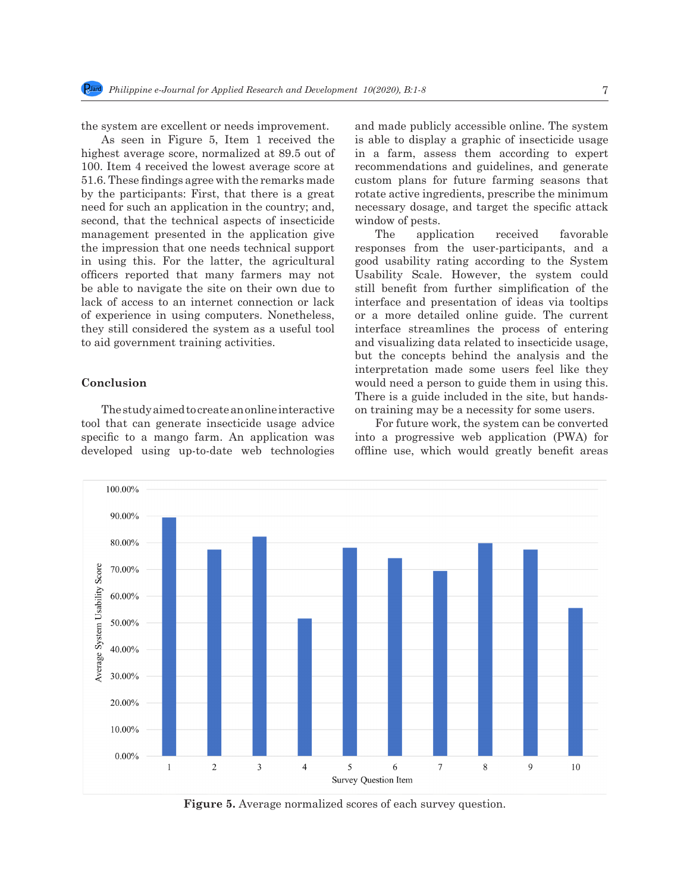the system are excellent or needs improvement.

As seen in Figure 5, Item 1 received the highest average score, normalized at 89.5 out of 100. Item 4 received the lowest average score at 51.6. These findings agree with the remarks made by the participants: First, that there is a great need for such an application in the country; and, second, that the technical aspects of insecticide management presented in the application give the impression that one needs technical support in using this. For the latter, the agricultural officers reported that many farmers may not be able to navigate the site on their own due to lack of access to an internet connection or lack of experience in using computers. Nonetheless, they still considered the system as a useful tool to aid government training activities.

# **Conclusion**

The study aimed to create an online interactive tool that can generate insecticide usage advice specific to a mango farm. An application was developed using up-to-date web technologies and made publicly accessible online. The system is able to display a graphic of insecticide usage in a farm, assess them according to expert recommendations and guidelines, and generate custom plans for future farming seasons that rotate active ingredients, prescribe the minimum necessary dosage, and target the specific attack window of pests.

The application received favorable responses from the user-participants, and a good usability rating according to the System Usability Scale. However, the system could still benefit from further simplification of the interface and presentation of ideas via tooltips or a more detailed online guide. The current interface streamlines the process of entering and visualizing data related to insecticide usage, but the concepts behind the analysis and the interpretation made some users feel like they would need a person to guide them in using this. There is a guide included in the site, but handson training may be a necessity for some users.

For future work, the system can be converted into a progressive web application (PWA) for offline use, which would greatly benefit areas



**Figure 5.** Average normalized scores of each survey question.